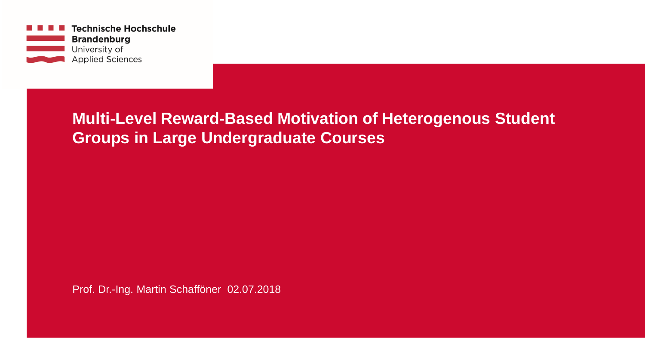

## **Multi-Level Reward-Based Motivation of Heterogenous Student Groups in Large Undergraduate Courses**

Prof. Dr.-Ing. Martin Schafföner 02.07.2018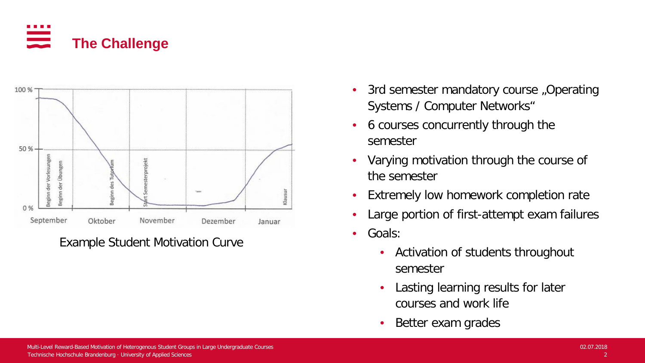



Example Student Motivation Curve

- 3rd semester mandatory course "Operating Systems / Computer Networks"
- 6 courses concurrently through the semester
- Varying motivation through the course of the semester
- Extremely low homework completion rate
- Large portion of first-attempt exam failures
- Goals:
	- Activation of students throughout semester
	- Lasting learning results for later courses and work life
	- Better exam grades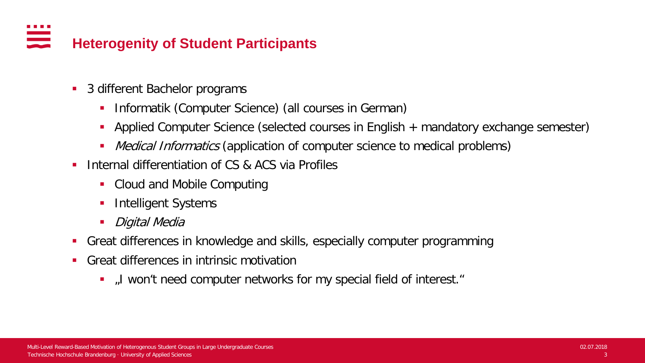#### . . . . an an Silva.<br>Tagairtí **Heterogenity of Student Participants**

- 3 different Bachelor programs
	- **Informatik (Computer Science) (all courses in German)**
	- Applied Computer Science (selected courses in English + mandatory exchange semester)
	- Medical Informatics (application of computer science to medical problems)
- **Internal differentiation of CS & ACS via Profiles** 
	- Cloud and Mobile Computing
	- **Intelligent Systems**
	- **Digital Media**
- Great differences in knowledge and skills, especially computer programming
- Great differences in intrinsic motivation
	- I won't need computer networks for my special field of interest."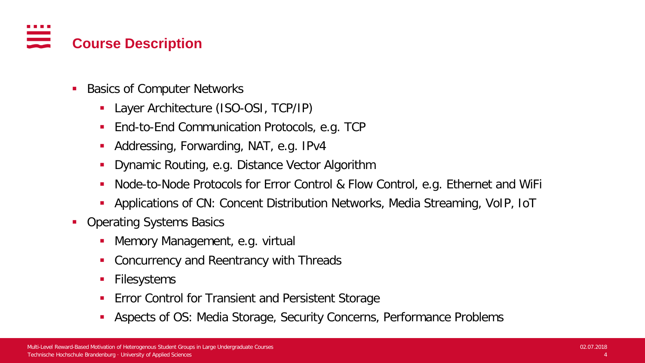# **Course Description**

- **Basics of Computer Networks** 
	- Layer Architecture (ISO-OSI, TCP/IP)
	- End-to-End Communication Protocols, e.g. TCP
	- Addressing, Forwarding, NAT, e.g. IPv4
	- **Dynamic Routing, e.g. Distance Vector Algorithm**
	- Node-to-Node Protocols for Error Control & Flow Control, e.g. Ethernet and WiFi
	- Applications of CN: Concent Distribution Networks, Media Streaming, VoIP, IoT
- Operating Systems Basics
	- **Memory Management, e.g. virtual**
	- **Concurrency and Reentrancy with Threads**
	- **Filesystems**
	- **Error Control for Transient and Persistent Storage**
	- Aspects of OS: Media Storage, Security Concerns, Performance Problems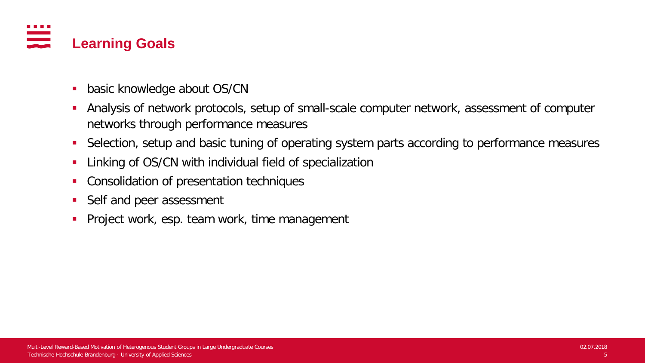

- **basic knowledge about OS/CN**
- Analysis of network protocols, setup of small-scale computer network, assessment of computer networks through performance measures
- Selection, setup and basic tuning of operating system parts according to performance measures
- **-** Linking of OS/CN with individual field of specialization
- **Consolidation of presentation techniques**
- Self and peer assessment
- **Project work, esp. team work, time management**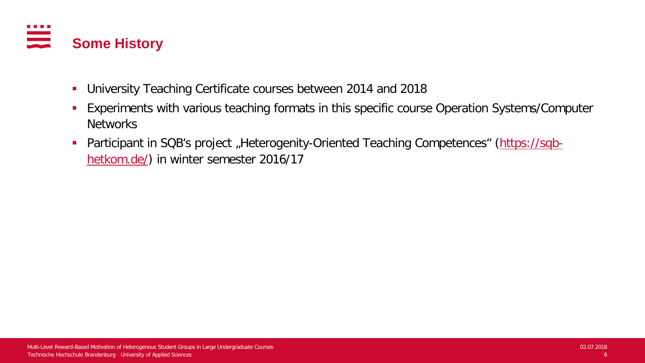

- University Teaching Certificate courses between 2014 and 2018
- **Experiments with various teaching formats in this specific course Operation Systems/Computer** Networks
- Participant in SQB's project "Heterogenity-Oriented Teaching Competences" [\(https://sqb](https://sqb-hetkom.de/)[hetkom.de/](https://sqb-hetkom.de/)) in winter semester 2016/17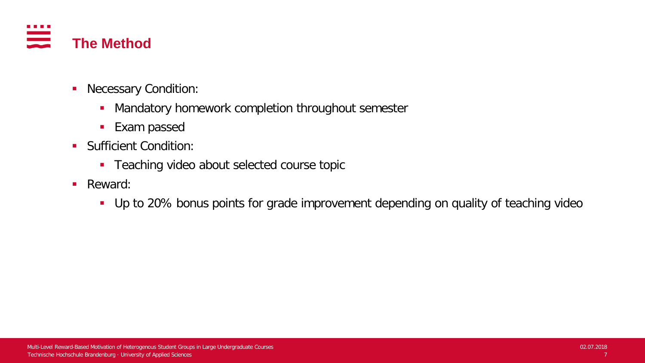

- **Necessary Condition:** 
	- **Mandatory homework completion throughout semester**
	- **Exam passed**
- **Sufficient Condition:** 
	- **Teaching video about selected course topic**
- **Reward:** 
	- Up to 20% bonus points for grade improvement depending on quality of teaching video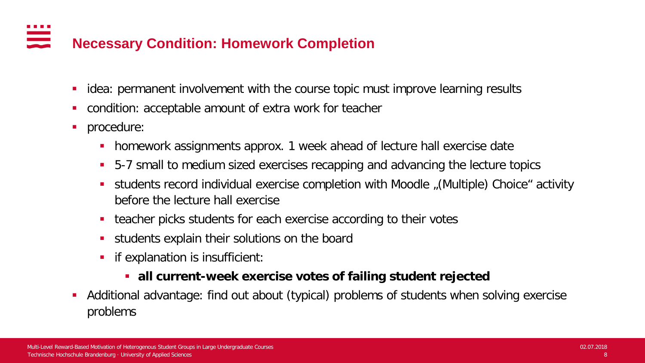### **Necessary Condition: Homework Completion**

- idea: permanent involvement with the course topic must improve learning results
- condition: acceptable amount of extra work for teacher
- **procedure:** 
	- **homework assignments approx. 1 week ahead of lecture hall exercise date**
	- **5-7 small to medium sized exercises recapping and advancing the lecture topics**
	- students record individual exercise completion with Moodle "(Multiple) Choice" activity before the lecture hall exercise
	- teacher picks students for each exercise according to their votes
	- students explain their solutions on the board
	- **Fig.** if explanation is insufficient:

## **all current-week exercise votes of failing student rejected**

 Additional advantage: find out about (typical) problems of students when solving exercise problems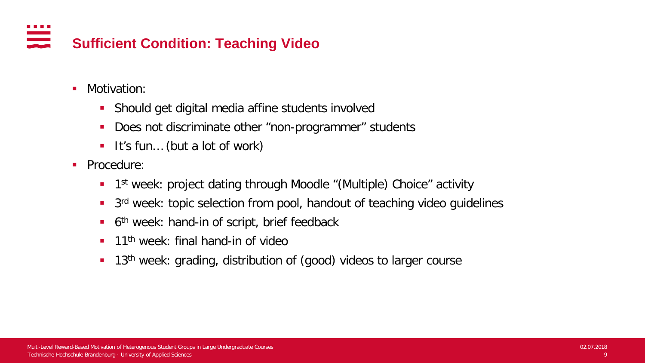#### . . . . ana any indrindra dia 1919.<br>Ny faritr'ora dia GMT+1. **Sufficient Condition: Teaching Video**

- Motivation:
	- Should get digital media affine students involved
	- **Does not discriminate other "non-programmer" students**
	- It's fun... (but a lot of work)
- **Procedure:** 
	- **1** 1st week: project dating through Moodle "(Multiple) Choice" activity
	- **3rd week: topic selection from pool, handout of teaching video guidelines**
	- $\blacksquare$  6<sup>th</sup> week: hand-in of script, brief feedback
	- **11<sup>th</sup>** week: final hand-in of video
	- **13<sup>th</sup>** week: grading, distribution of (good) videos to larger course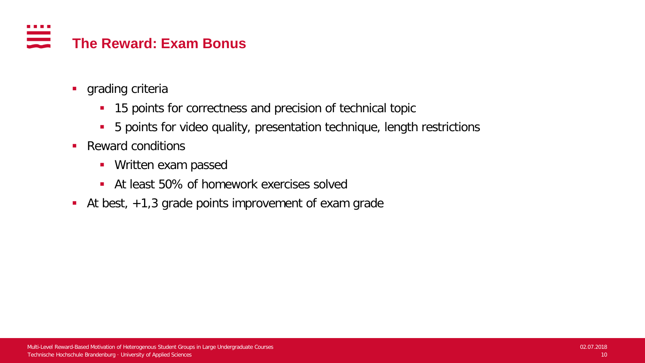#### . . . . **The Reward: Exam Bonus**

- **grading criteria** 
	- **15 points for correctness and precision of technical topic**
	- 5 points for video quality, presentation technique, length restrictions
- Reward conditions
	- **Written exam passed**
	- At least 50% of homework exercises solved
- At best, +1,3 grade points improvement of exam grade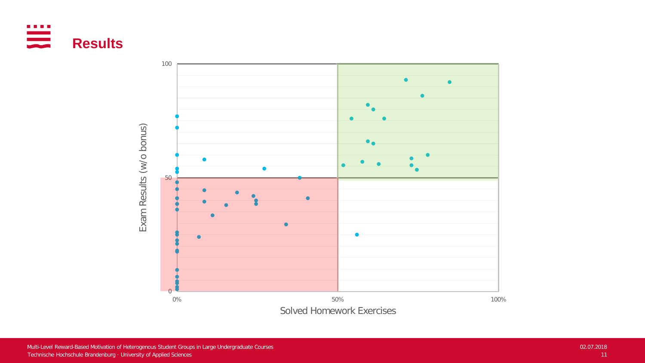

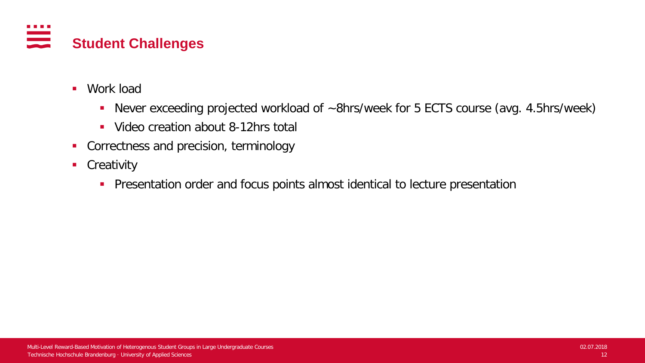

- Work load
	- Never exceeding projected workload of ~8hrs/week for 5 ECTS course (avg. 4.5hrs/week)
	- Video creation about 8-12hrs total
- **Correctness and precision, terminology**
- **Creativity** 
	- **Presentation order and focus points almost identical to lecture presentation**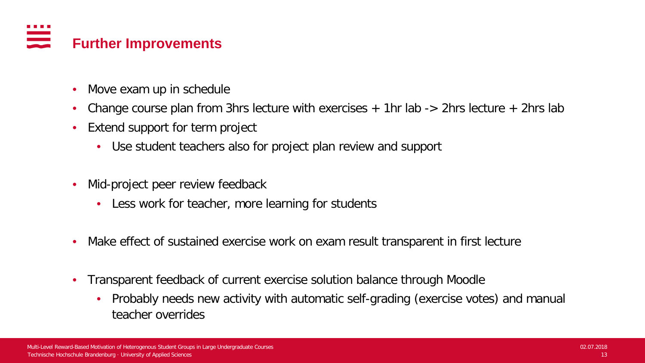# **Further Improvements**

- Move exam up in schedule
- Change course plan from 3hrs lecture with exercises  $+$  1hr lab  $-$  2hrs lecture  $+$  2hrs lab
- Extend support for term project
	- Use student teachers also for project plan review and support
- Mid-project peer review feedback
	- Less work for teacher, more learning for students
- Make effect of sustained exercise work on exam result transparent in first lecture
- Transparent feedback of current exercise solution balance through Moodle
	- Probably needs new activity with automatic self-grading (exercise votes) and manual teacher overrides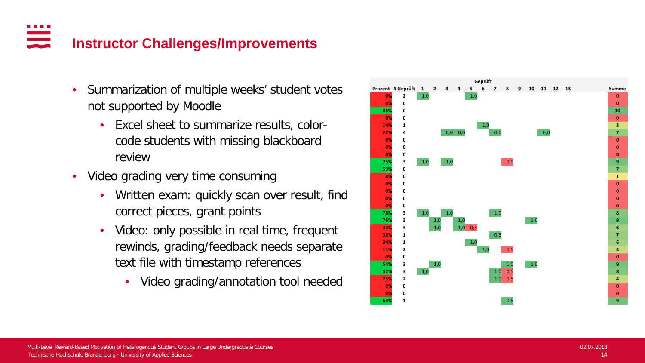### <u>est</u> **Instructor Challenges/Improvements**

- Summarization of multiple weeks' student votes not supported by Moodle
	- Excel sheet to summarize results, colorcode students with missing blackboard review
- Video grading very time consuming
	- Written exam: quickly scan over result, find correct pieces, grant points
	- Video: only possible in real time, frequent rewinds, grading/feedback needs separate text file with timestamp references
		- Video grading/annotation tool needed

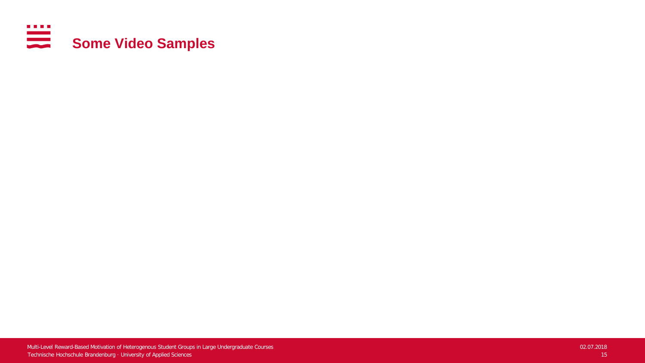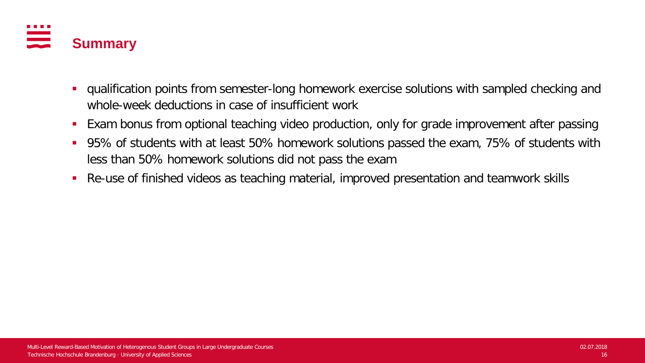

- qualification points from semester-long homework exercise solutions with sampled checking and whole-week deductions in case of insufficient work
- Exam bonus from optional teaching video production, only for grade improvement after passing
- 95% of students with at least 50% homework solutions passed the exam, 75% of students with less than 50% homework solutions did not pass the exam
- Re-use of finished videos as teaching material, improved presentation and teamwork skills